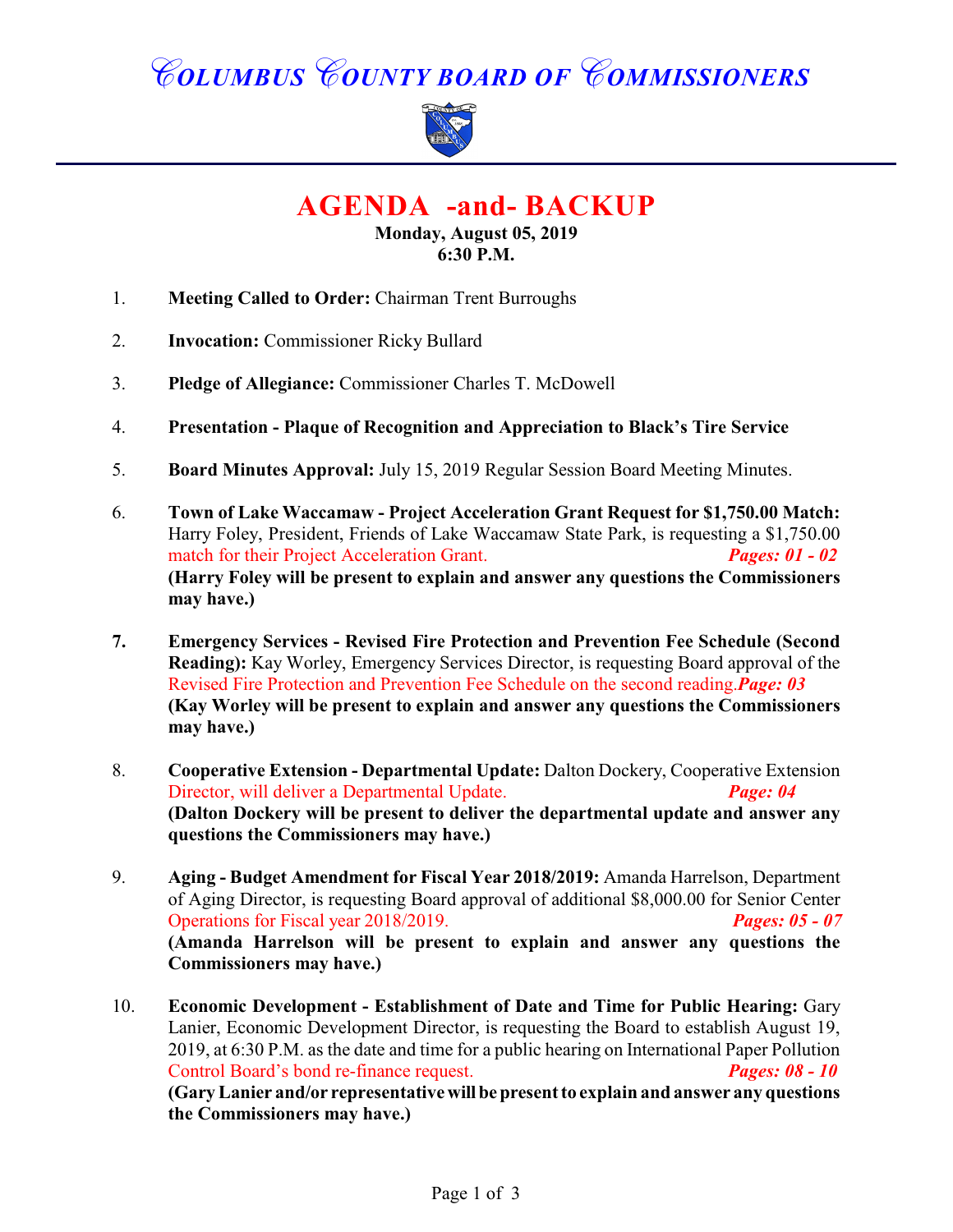## *COLUMBUS COUNTY BOARD OF COMMISSIONERS*



**AGENDA -and- BACKUP**

**Monday, August 05, 2019 6:30 P.M.**

- 1. **Meeting Called to Order:** Chairman Trent Burroughs
- 2. **Invocation:** Commissioner Ricky Bullard
- 3. **Pledge of Allegiance:** Commissioner Charles T. McDowell
- 4. **Presentation Plaque of Recognition and Appreciation to Black's Tire Service**
- 5. **Board Minutes Approval:** July 15, 2019 Regular Session Board Meeting Minutes.
- 6. **Town of Lake Waccamaw Project Acceleration Grant Request for \$1,750.00 Match:** Harry Foley, President, Friends of Lake Waccamaw State Park, is requesting a \$1,750.00 match for their Project Acceleration Grant. *Pages: 01 - 02* **(Harry Foley will be present to explain and answer any questions the Commissioners may have.)**
- **7. Emergency Services Revised Fire Protection and Prevention Fee Schedule (Second Reading):** Kay Worley, Emergency Services Director, is requesting Board approval of the Revised Fire Protection and Prevention Fee Schedule on the second reading.*Page: 03* **(Kay Worley will be present to explain and answer any questions the Commissioners may have.)**
- 8. **Cooperative Extension Departmental Update:** Dalton Dockery, Cooperative Extension Director, will deliver a Departmental Update. *Page: 04* **(Dalton Dockery will be present to deliver the departmental update and answer any questions the Commissioners may have.)**
- 9. **Aging Budget Amendment for Fiscal Year 2018/2019:** Amanda Harrelson, Department of Aging Director, is requesting Board approval of additional \$8,000.00 for Senior Center Operations for Fiscal year 2018/2019. *Pages: 05 - 07* **(Amanda Harrelson will be present to explain and answer any questions the Commissioners may have.)**
- 10. **Economic Development Establishment of Date and Time for Public Hearing:** Gary Lanier, Economic Development Director, is requesting the Board to establish August 19, 2019, at 6:30 P.M. as the date and time for a public hearing on International Paper Pollution Control Board's bond re-finance request. *Pages: 08 - 10* **(Gary Lanier and/or representative will be present to explain and answer any questions the Commissioners may have.)**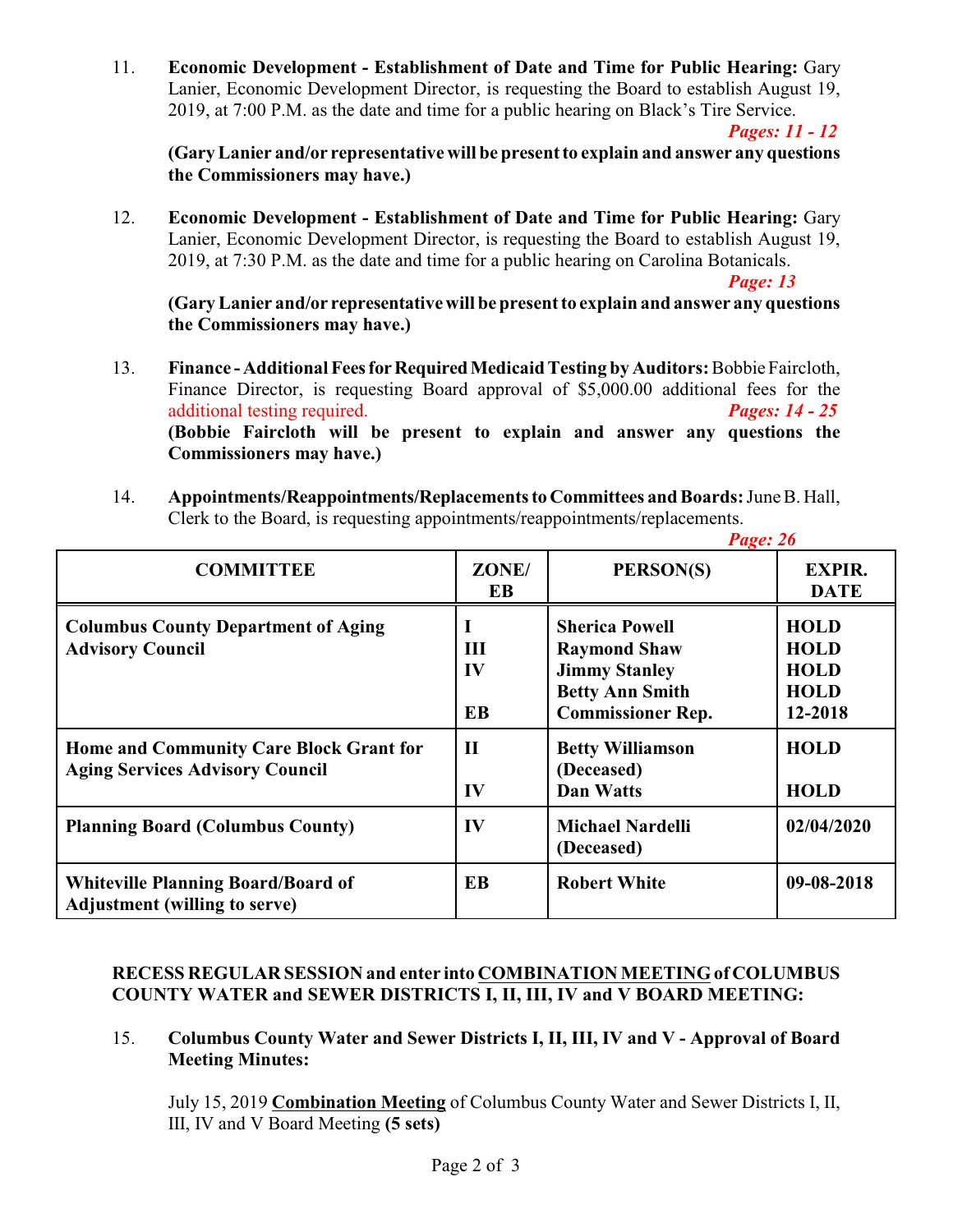11. **Economic Development - Establishment of Date and Time for Public Hearing:** Gary Lanier, Economic Development Director, is requesting the Board to establish August 19, 2019, at 7:00 P.M. as the date and time for a public hearing on Black's Tire Service.

*Pages: 11 - 12*

**(Gary Lanier and/or representative will be present to explain and answer any questions the Commissioners may have.)**

12. **Economic Development - Establishment of Date and Time for Public Hearing:** Gary Lanier, Economic Development Director, is requesting the Board to establish August 19, 2019, at 7:30 P.M. as the date and time for a public hearing on Carolina Botanicals.

*Page: 13*

**(Gary Lanier and/or representative will be present to explain and answer any questions the Commissioners may have.)**

- 13. **Finance Additional Fees for Required Medicaid Testing by Auditors:** Bobbie Faircloth, Finance Director, is requesting Board approval of \$5,000.00 additional fees for the additional testing required. *Pages: 14 - 25* **(Bobbie Faircloth will be present to explain and answer any questions the Commissioners may have.)**
- 14. **Appointments/Reappointments/Replacements to Committees and Boards:** June B. Hall, Clerk to the Board, is requesting appointments/reappointments/replacements.

|                                                                                   |                      | Page: 26                                                                                                                   |                                                                     |
|-----------------------------------------------------------------------------------|----------------------|----------------------------------------------------------------------------------------------------------------------------|---------------------------------------------------------------------|
| <b>COMMITTEE</b>                                                                  | ZONE/<br>EB          | PERSON(S)                                                                                                                  | <b>EXPIR.</b><br><b>DATE</b>                                        |
| <b>Columbus County Department of Aging</b><br><b>Advisory Council</b>             | Ш<br>IV<br><b>EB</b> | <b>Sherica Powell</b><br><b>Raymond Shaw</b><br><b>Jimmy Stanley</b><br><b>Betty Ann Smith</b><br><b>Commissioner Rep.</b> | <b>HOLD</b><br><b>HOLD</b><br><b>HOLD</b><br><b>HOLD</b><br>12-2018 |
| Home and Community Care Block Grant for<br><b>Aging Services Advisory Council</b> | $\mathbf{I}$<br>IV   | <b>Betty Williamson</b><br>(Deceased)<br><b>Dan Watts</b>                                                                  | <b>HOLD</b><br><b>HOLD</b>                                          |
| <b>Planning Board (Columbus County)</b>                                           | IV                   | <b>Michael Nardelli</b><br>(Deceased)                                                                                      | 02/04/2020                                                          |
| <b>Whiteville Planning Board/Board of</b><br><b>Adjustment (willing to serve)</b> | EB                   | <b>Robert White</b>                                                                                                        | 09-08-2018                                                          |

## **RECESS REGULAR SESSION and enter into COMBINATION MEETING of COLUMBUS COUNTY WATER and SEWER DISTRICTS I, II, III, IV and V BOARD MEETING:**

15. **Columbus County Water and Sewer Districts I, II, III, IV and V - Approval of Board Meeting Minutes:**

July 15, 2019 **Combination Meeting** of Columbus County Water and Sewer Districts I, II, III, IV and V Board Meeting **(5 sets)**